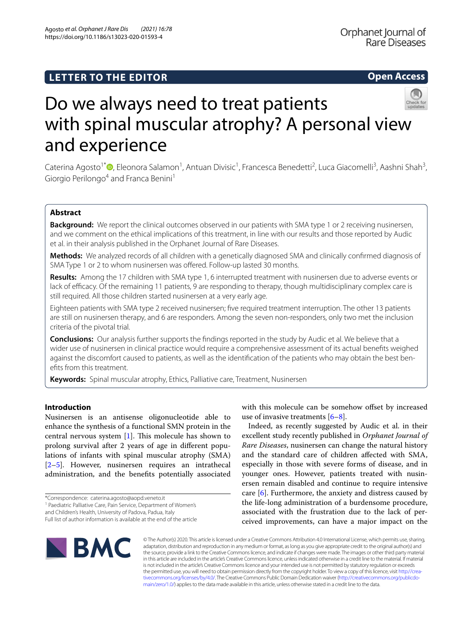Agosto *et al. Orphanet J Rare Dis (2021) 16:78*  https://doi.org/10.1186/s13023-020-01593-4

# **Open Access**



# Do we always need to treat patients with spinal muscular atrophy? A personal view and experience

Caterina Agosto<sup>1\*</sup>®[,](http://orcid.org/0000-0003-0584-8871) Eleonora Salamon<sup>1</sup>, Antuan Divisic<sup>1</sup>, Francesca Benedetti<sup>2</sup>, Luca Giacomelli<sup>3</sup>, Aashni Shah<sup>3</sup>, Giorgio Perilongo<sup>4</sup> and Franca Benini<sup>1</sup>

# **Abstract**

**Background:** We report the clinical outcomes observed in our patients with SMA type 1 or 2 receiving nusinersen, and we comment on the ethical implications of this treatment, in line with our results and those reported by Audic et al. in their analysis published in the Orphanet Journal of Rare Diseases.

**Methods:** We analyzed records of all children with a genetically diagnosed SMA and clinically confrmed diagnosis of SMA Type 1 or 2 to whom nusinersen was offered. Follow-up lasted 30 months.

**Results:** Among the 17 children with SMA type 1, 6 interrupted treatment with nusinersen due to adverse events or lack of efficacy. Of the remaining 11 patients, 9 are responding to therapy, though multidisciplinary complex care is still required. All those children started nusinersen at a very early age.

Eighteen patients with SMA type 2 received nusinersen; fve required treatment interruption. The other 13 patients are still on nusinersen therapy, and 6 are responders. Among the seven non-responders, only two met the inclusion criteria of the pivotal trial.

**Conclusions:** Our analysis further supports the fndings reported in the study by Audic et al. We believe that a wider use of nusinersen in clinical practice would require a comprehensive assessment of its actual benefts weighed against the discomfort caused to patients, as well as the identifcation of the patients who may obtain the best benefts from this treatment.

**Keywords:** Spinal muscular atrophy, Ethics, Palliative care, Treatment, Nusinersen

# **Introduction**

Nusinersen is an antisense oligonucleotide able to enhance the synthesis of a functional SMN protein in the central nervous system  $[1]$  $[1]$ . This molecule has shown to prolong survival after 2 years of age in diferent populations of infants with spinal muscular atrophy (SMA) [[2–](#page-3-1)[5\]](#page-3-2). However, nusinersen requires an intrathecal administration, and the benefts potentially associated

\*Correspondence: caterina.agosto@aopd.veneto.it

<sup>1</sup> Paediatric Palliative Care, Pain Service, Department of Women's

and Children's Health, University of Padova, Padua, Italy

with this molecule can be somehow offset by increased use of invasive treatments [[6–](#page-3-3)[8\]](#page-3-4).

Indeed, as recently suggested by Audic et al. in their excellent study recently published in *Orphanet Journal of Rare Diseases*, nusinersen can change the natural history and the standard care of children afected with SMA, especially in those with severe forms of disease, and in younger ones. However, patients treated with nusinersen remain disabled and continue to require intensive care [[6\]](#page-3-3). Furthermore, the anxiety and distress caused by the life-long administration of a burdensome procedure, associated with the frustration due to the lack of perceived improvements, can have a major impact on the



© The Author(s) 2020. This article is licensed under a Creative Commons Attribution 4.0 International License, which permits use, sharing, adaptation, distribution and reproduction in any medium or format, as long as you give appropriate credit to the original author(s) and the source, provide a link to the Creative Commons licence, and indicate if changes were made. The images or other third party material in this article are included in the article's Creative Commons licence, unless indicated otherwise in a credit line to the material. If material is not included in the article's Creative Commons licence and your intended use is not permitted by statutory regulation or exceeds the permitted use, you will need to obtain permission directly from the copyright holder. To view a copy of this licence, visit [http://crea](http://creativecommons.org/licenses/by/4.0/)[tivecommons.org/licenses/by/4.0/.](http://creativecommons.org/licenses/by/4.0/) The Creative Commons Public Domain Dedication waiver ([http://creativecommons.org/publicdo](http://creativecommons.org/publicdomain/zero/1.0/)[main/zero/1.0/\)](http://creativecommons.org/publicdomain/zero/1.0/) applies to the data made available in this article, unless otherwise stated in a credit line to the data.

Full list of author information is available at the end of the article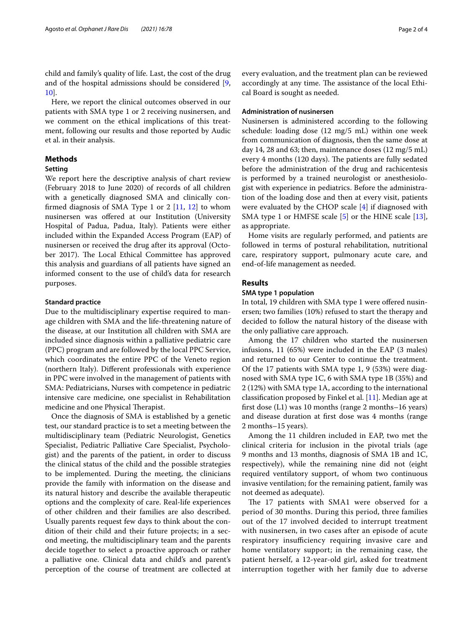child and family's quality of life. Last, the cost of the drug and of the hospital admissions should be considered [\[9](#page-3-5), [10\]](#page-3-6).

Here, we report the clinical outcomes observed in our patients with SMA type 1 or 2 receiving nusinersen, and we comment on the ethical implications of this treatment, following our results and those reported by Audic et al. in their analysis.

# **Methods**

## **Setting**

We report here the descriptive analysis of chart review (February 2018 to June 2020) of records of all children with a genetically diagnosed SMA and clinically confrmed diagnosis of SMA Type 1 or 2 [\[11](#page-3-7), [12](#page-3-8)] to whom nusinersen was ofered at our Institution (University Hospital of Padua, Padua, Italy). Patients were either included within the Expanded Access Program (EAP) of nusinersen or received the drug after its approval (October 2017). The Local Ethical Committee has approved this analysis and guardians of all patients have signed an informed consent to the use of child's data for research purposes.

#### **Standard practice**

Due to the multidisciplinary expertise required to manage children with SMA and the life-threatening nature of the disease, at our Institution all children with SMA are included since diagnosis within a palliative pediatric care (PPC) program and are followed by the local PPC Service, which coordinates the entire PPC of the Veneto region (northern Italy). Diferent professionals with experience in PPC were involved in the management of patients with SMA: Pediatricians, Nurses with competence in pediatric intensive care medicine, one specialist in Rehabilitation medicine and one Physical Therapist.

Once the diagnosis of SMA is established by a genetic test, our standard practice is to set a meeting between the multidisciplinary team (Pediatric Neurologist, Genetics Specialist, Pediatric Palliative Care Specialist, Psychologist) and the parents of the patient, in order to discuss the clinical status of the child and the possible strategies to be implemented. During the meeting, the clinicians provide the family with information on the disease and its natural history and describe the available therapeutic options and the complexity of care. Real-life experiences of other children and their families are also described. Usually parents request few days to think about the condition of their child and their future projects; in a second meeting, the multidisciplinary team and the parents decide together to select a proactive approach or rather a palliative one. Clinical data and child's and parent's perception of the course of treatment are collected at every evaluation, and the treatment plan can be reviewed accordingly at any time. The assistance of the local Ethical Board is sought as needed.

# **Administration of nusinersen**

Nusinersen is administered according to the following schedule: loading dose (12 mg/5 mL) within one week from communication of diagnosis, then the same dose at day 14, 28 and 63; then, maintenance doses (12 mg/5 mL) every 4 months (120 days). The patients are fully sedated before the administration of the drug and rachicentesis is performed by a trained neurologist or anesthesiologist with experience in pediatrics. Before the administration of the loading dose and then at every visit, patients were evaluated by the CHOP scale [[4\]](#page-3-9) if diagnosed with SMA type 1 or HMFSE scale [\[5](#page-3-2)] or the HINE scale [\[13](#page-3-10)], as appropriate.

Home visits are regularly performed, and patients are followed in terms of postural rehabilitation, nutritional care, respiratory support, pulmonary acute care, and end-of-life management as needed.

#### **Results**

## **SMA type 1 population**

In total, 19 children with SMA type 1 were offered nusinersen; two families (10%) refused to start the therapy and decided to follow the natural history of the disease with the only palliative care approach.

Among the 17 children who started the nusinersen infusions, 11 (65%) were included in the EAP (3 males) and returned to our Center to continue the treatment. Of the 17 patients with SMA type 1, 9 (53%) were diagnosed with SMA type 1C, 6 with SMA type 1B (35%) and 2 (12%) with SMA type 1A, according to the international classifcation proposed by Finkel et al. [[11\]](#page-3-7). Median age at frst dose (L1) was 10 months (range 2 months–16 years) and disease duration at frst dose was 4 months (range 2 months–15 years).

Among the 11 children included in EAP, two met the clinical criteria for inclusion in the pivotal trials (age 9 months and 13 months, diagnosis of SMA 1B and 1C, respectively), while the remaining nine did not (eight required ventilatory support, of whom two continuous invasive ventilation; for the remaining patient, family was not deemed as adequate).

The 17 patients with SMA1 were observed for a period of 30 months. During this period, three families out of the 17 involved decided to interrupt treatment with nusinersen, in two cases after an episode of acute respiratory insufficiency requiring invasive care and home ventilatory support; in the remaining case, the patient herself, a 12-year-old girl, asked for treatment interruption together with her family due to adverse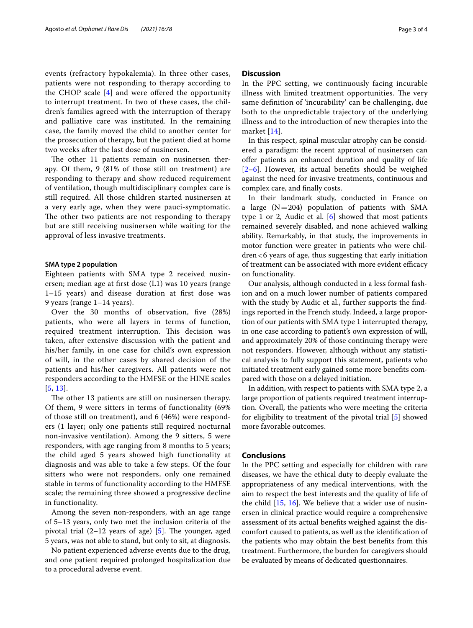events (refractory hypokalemia). In three other cases, patients were not responding to therapy according to the CHOP scale  $[4]$  $[4]$  and were offered the opportunity to interrupt treatment. In two of these cases, the children's families agreed with the interruption of therapy and palliative care was instituted. In the remaining case, the family moved the child to another center for the prosecution of therapy, but the patient died at home two weeks after the last dose of nusinersen.

The other 11 patients remain on nusinersen therapy. Of them, 9 (81% of those still on treatment) are responding to therapy and show reduced requirement of ventilation, though multidisciplinary complex care is still required. All those children started nusinersen at a very early age, when they were pauci-symptomatic. The other two patients are not responding to therapy but are still receiving nusinersen while waiting for the approval of less invasive treatments.

#### **SMA type 2 population**

Eighteen patients with SMA type 2 received nusinersen; median age at frst dose (L1) was 10 years (range 1–15 years) and disease duration at frst dose was 9 years (range 1–14 years).

Over the 30 months of observation, fve (28%) patients, who were all layers in terms of function, required treatment interruption. This decision was taken, after extensive discussion with the patient and his/her family, in one case for child's own expression of will, in the other cases by shared decision of the patients and his/her caregivers. All patients were not responders according to the HMFSE or the HINE scales [[5](#page-3-2), [13](#page-3-10)].

The other 13 patients are still on nusinersen therapy. Of them, 9 were sitters in terms of functionality (69% of those still on treatment), and 6 (46%) were responders (1 layer; only one patients still required nocturnal non-invasive ventilation). Among the 9 sitters, 5 were responders, with age ranging from 8 months to 5 years; the child aged 5 years showed high functionality at diagnosis and was able to take a few steps. Of the four sitters who were not responders, only one remained stable in terms of functionality according to the HMFSE scale; the remaining three showed a progressive decline in functionality.

Among the seven non-responders, with an age range of 5–13 years, only two met the inclusion criteria of the pivotal trial  $(2-12$  years of age) [[5\]](#page-3-2). The younger, aged 5 years, was not able to stand, but only to sit, at diagnosis.

No patient experienced adverse events due to the drug, and one patient required prolonged hospitalization due to a procedural adverse event.

## **Discussion**

In the PPC setting, we continuously facing incurable illness with limited treatment opportunities. The very same defnition of 'incurability' can be challenging, due both to the unpredictable trajectory of the underlying illness and to the introduction of new therapies into the market [\[14](#page-3-11)].

In this respect, spinal muscular atrophy can be considered a paradigm: the recent approval of nusinersen can ofer patients an enhanced duration and quality of life [[2–](#page-3-1)[6\]](#page-3-3). However, its actual benefts should be weighed against the need for invasive treatments, continuous and complex care, and fnally costs.

In their landmark study, conducted in France on a large  $(N=204)$  population of patients with SMA type 1 or 2, Audic et al. [[6\]](#page-3-3) showed that most patients remained severely disabled, and none achieved walking ability. Remarkably, in that study, the improvements in motor function were greater in patients who were children<6 years of age, thus suggesting that early initiation of treatment can be associated with more evident efficacy on functionality.

Our analysis, although conducted in a less formal fashion and on a much lower number of patients compared with the study by Audic et al., further supports the fndings reported in the French study. Indeed, a large proportion of our patients with SMA type 1 interrupted therapy, in one case according to patient's own expression of will, and approximately 20% of those continuing therapy were not responders. However, although without any statistical analysis to fully support this statement, patients who initiated treatment early gained some more benefts compared with those on a delayed initiation.

In addition, with respect to patients with SMA type 2, a large proportion of patients required treatment interruption. Overall, the patients who were meeting the criteria for eligibility to treatment of the pivotal trial [\[5](#page-3-2)] showed more favorable outcomes.

# **Conclusions**

In the PPC setting and especially for children with rare diseases, we have the ethical duty to deeply evaluate the appropriateness of any medical interventions, with the aim to respect the best interests and the quality of life of the child  $[15, 16]$  $[15, 16]$  $[15, 16]$  $[15, 16]$ . We believe that a wider use of nusinersen in clinical practice would require a comprehensive assessment of its actual benefts weighed against the discomfort caused to patients, as well as the identifcation of the patients who may obtain the best benefts from this treatment. Furthermore, the burden for caregivers should be evaluated by means of dedicated questionnaires.